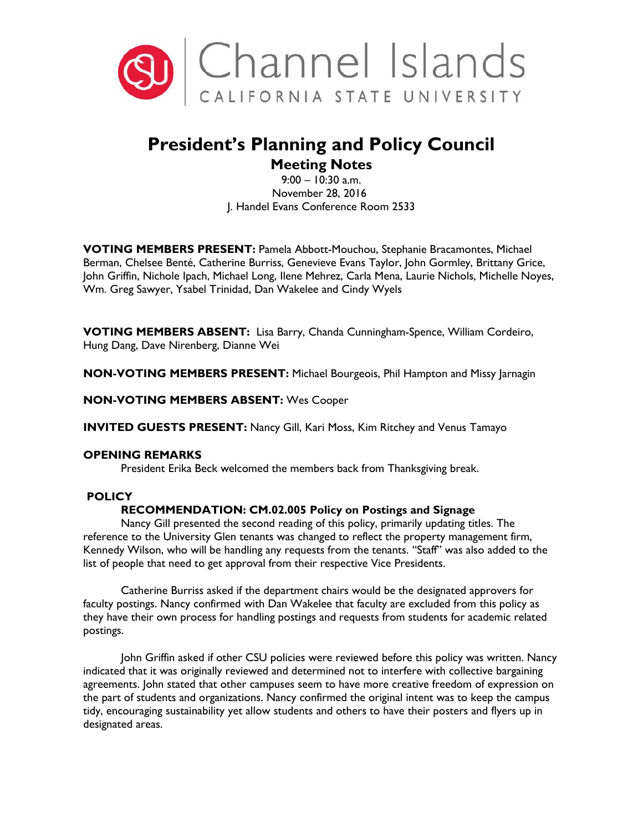

# **President's Planning and Policy Council**

## **Meeting Notes**

9:00 – 10:30 a.m. November 28, 2016 J. Handel Evans Conference Room 2533

**VOTING MEMBERS PRESENT:** Pamela Abbott-Mouchou, Stephanie Bracamontes, Michael Berman, Chelsee Benté, Catherine Burriss, Genevieve Evans Taylor, John Gormley, Brittany Grice, John Griffin, Nichole Ipach, Michael Long, Ilene Mehrez, Carla Mena, Laurie Nichols, Michelle Noyes, Wm. Greg Sawyer, Ysabel Trinidad, Dan Wakelee and Cindy Wyels

**VOTING MEMBERS ABSENT:** Lisa Barry, Chanda Cunningham-Spence, William Cordeiro, Hung Dang, Dave Nirenberg, Dianne Wei

**NON-VOTING MEMBERS PRESENT:** Michael Bourgeois, Phil Hampton and Missy Jarnagin

**NON-VOTING MEMBERS ABSENT:** Wes Cooper

**INVITED GUESTS PRESENT:** Nancy Gill, Kari Moss, Kim Ritchey and Venus Tamayo

### **OPENING REMARKS**

President Erika Beck welcomed the members back from Thanksgiving break.

## **POLICY**

## **RECOMMENDATION: CM.02.005 Policy on Postings and Signage**

Nancy Gill presented the second reading of this policy, primarily updating titles. The reference to the University Glen tenants was changed to reflect the property management firm, Kennedy Wilson, who will be handling any requests from the tenants. ''Staff'' was also added to the list of people that need to get approval from their respective Vice Presidents.

Catherine Burriss asked if the department chairs would be the designated approvers for faculty postings. Nancy confirmed with Dan Wakelee that faculty are excluded from this policy as they have their own process for handling postings and requests from students for academic related postings.

John Griffin asked if other CSU policies were reviewed before this policy was written. Nancy indicated that it was originally reviewed and determined not to interfere with collective bargaining agreements. John stated that other campuses seem to have more creative freedom of expression on the part of students and organizations. Nancy confirmed the original intent was to keep the campus tidy, encouraging sustainability yet allow students and others to have their posters and flyers up in designated areas.